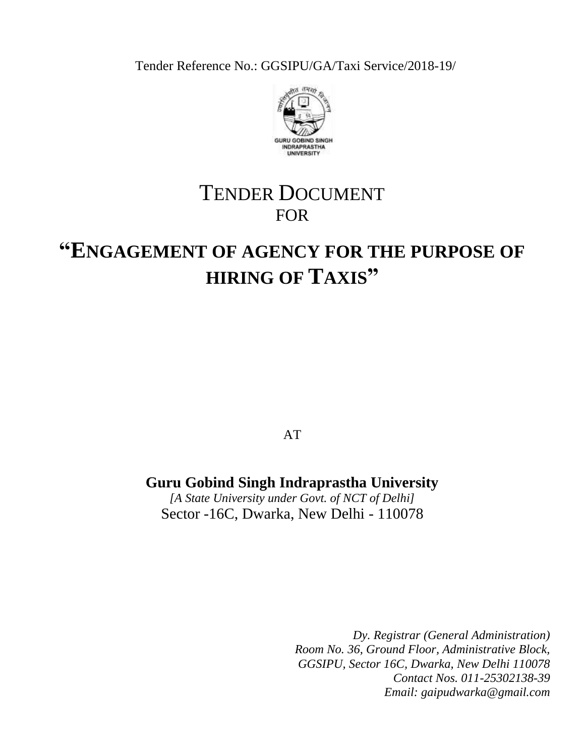Tender Reference No.: GGSIPU/GA/Taxi Service/2018-19/



# TENDER DOCUMENT FOR

# **"ENGAGEMENT OF AGENCY FOR THE PURPOSE OF HIRING OF TAXIS"**

AT

# **Guru Gobind Singh Indraprastha University**

*[A State University under Govt. of NCT of Delhi]* Sector -16C, Dwarka, New Delhi - 110078

> *Dy. Registrar (General Administration) Room No. 36, Ground Floor, Administrative Block, GGSIPU, Sector 16C, Dwarka, New Delhi 110078 Contact Nos. 011-25302138-39 Email: gaipudwarka@gmail.com*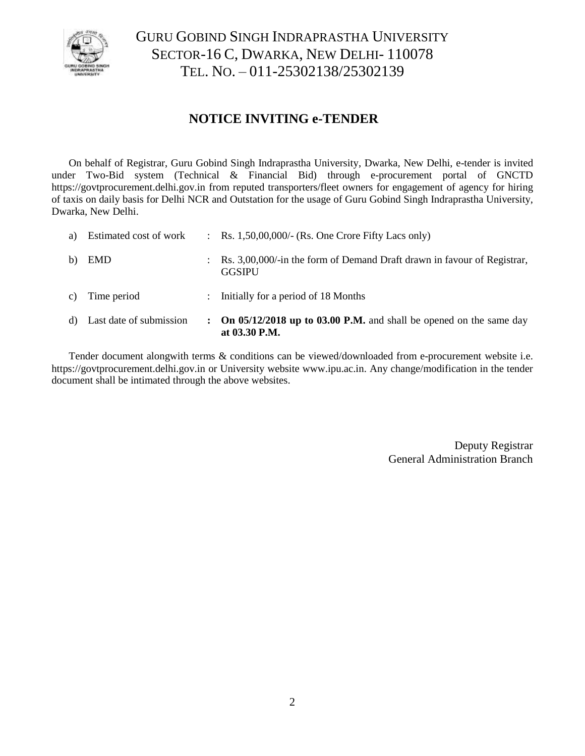

# GURU GOBIND SINGH INDRAPRASTHA UNIVERSITY SECTOR-16 C, DWARKA, NEW DELHI- 110078 TEL. NO. – 011-25302138/25302139

# **NOTICE INVITING e-TENDER**

On behalf of Registrar, Guru Gobind Singh Indraprastha University, Dwarka, New Delhi, e-tender is invited under Two-Bid system (Technical & Financial Bid) through e-procurement portal of GNCTD https://govtprocurement.delhi.gov.in from reputed transporters/fleet owners for engagement of agency for hiring of taxis on daily basis for Delhi NCR and Outstation for the usage of Guru Gobind Singh Indraprastha University, Dwarka, New Delhi.

|    | d) Last date of submission | $\mathbf{L}$              | On 05/12/2018 up to 03.00 P.M. and shall be opened on the same day<br>at 03.30 P.M.      |
|----|----------------------------|---------------------------|------------------------------------------------------------------------------------------|
| C) | Time period                | $\mathbb{R}^{\mathbb{Z}}$ | Initially for a period of 18 Months                                                      |
| b) | <b>EMD</b>                 |                           | Rs. 3,00,000/-in the form of Demand Draft drawn in favour of Registrar,<br><b>GGSIPU</b> |
| a) | Estimated cost of work     |                           | $\therefore$ Rs. 1,50,00,000/- (Rs. One Crore Fifty Lacs only)                           |

Tender document alongwith terms & conditions can be viewed/downloaded from e-procurement website i.e. https://govtprocurement.delhi.gov.in or University website [www.ipu.ac.in.](http://www.ipu.ac.in/) Any change/modification in the tender document shall be intimated through the above websites.

> Deputy Registrar General Administration Branch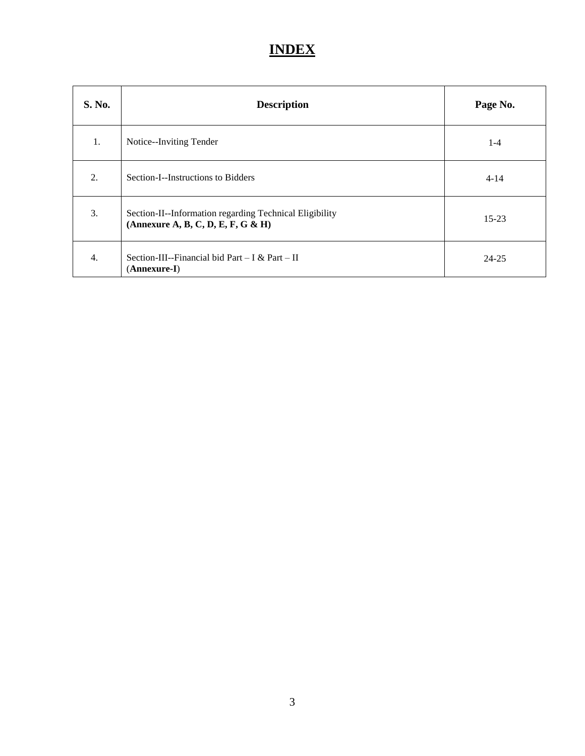# **INDEX**

| <b>S. No.</b> | <b>Description</b>                                                                            | Page No.  |
|---------------|-----------------------------------------------------------------------------------------------|-----------|
| 1.            | Notice--Inviting Tender                                                                       | $1-4$     |
| 2.            | Section-I--Instructions to Bidders                                                            | $4 - 14$  |
| 3.            | Section-II--Information regarding Technical Eligibility<br>(Annexure A, B, C, D, E, F, G & H) | $15 - 23$ |
| 4.            | Section-III--Financial bid Part – I & Part – II<br>(Annexure-I)                               | 24-25     |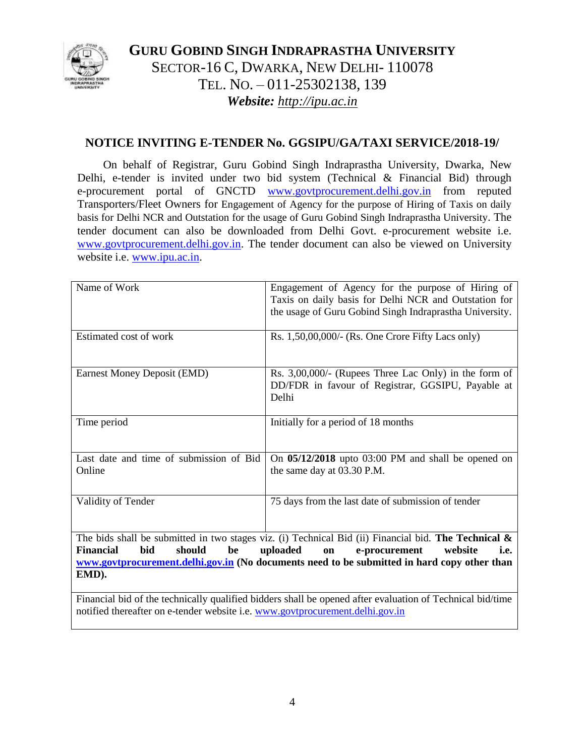

**GURU GOBIND SINGH INDRAPRASTHA UNIVERSITY** SECTOR-16 C, DWARKA, NEW DELHI- 110078 TEL. NO. – 011-25302138, 139 *Website: http://ipu.ac.in*

# **NOTICE INVITING E-TENDER No. GGSIPU/GA/TAXI SERVICE/2018-19/**

On behalf of Registrar, Guru Gobind Singh Indraprastha University, Dwarka, New Delhi, e-tender is invited under two bid system (Technical & Financial Bid) through e-procurement portal of GNCTD [www.govtprocurement.delhi.gov.in](http://www.govtprocurement.delhi..gov.in/) from reputed Transporters/Fleet Owners for Engagement of Agency for the purpose of Hiring of Taxis on daily basis for Delhi NCR and Outstation for the usage of Guru Gobind Singh Indraprastha University. The tender document can also be downloaded from Delhi Govt. e-procurement website i.e. [www.govtprocurement.delhi.gov.in.](http://www.govtprocurement.delhi..gov.in/) The tender document can also be viewed on University website i.e. [www.ipu.ac.in.](http://www.ipu.ac.in/)

| Name of Work                                              | Engagement of Agency for the purpose of Hiring of<br>Taxis on daily basis for Delhi NCR and Outstation for<br>the usage of Guru Gobind Singh Indraprastha University.                                                                                        |
|-----------------------------------------------------------|--------------------------------------------------------------------------------------------------------------------------------------------------------------------------------------------------------------------------------------------------------------|
| Estimated cost of work                                    | Rs. 1,50,00,000/- (Rs. One Crore Fifty Lacs only)                                                                                                                                                                                                            |
| Earnest Money Deposit (EMD)                               | Rs. $3,00,000/$ - (Rupees Three Lac Only) in the form of<br>DD/FDR in favour of Registrar, GGSIPU, Payable at<br>Delhi                                                                                                                                       |
| Time period                                               | Initially for a period of 18 months                                                                                                                                                                                                                          |
| Last date and time of submission of Bid<br>Online         | On $05/12/2018$ upto 03:00 PM and shall be opened on<br>the same day at 03.30 P.M.                                                                                                                                                                           |
| Validity of Tender                                        | 75 days from the last date of submission of tender                                                                                                                                                                                                           |
| Financial<br>bid<br>should<br>be<br>EMD).<br>$\mathbf{r}$ | The bids shall be submitted in two stages viz. (i) Technical Bid (ii) Financial bid. The Technical $\&$<br>uploaded<br>e-procurement<br>on<br>website<br>i.e.<br>www.govtprocurement.delhi.gov.in (No documents need to be submitted in hard copy other than |

Financial bid of the technically qualified bidders shall be opened after evaluation of Technical bid/time notified thereafter on e-tender website i.e. [www.govtprocurement.delhi.gov.in](http://www.govtprocurement.delhi.gov.in/)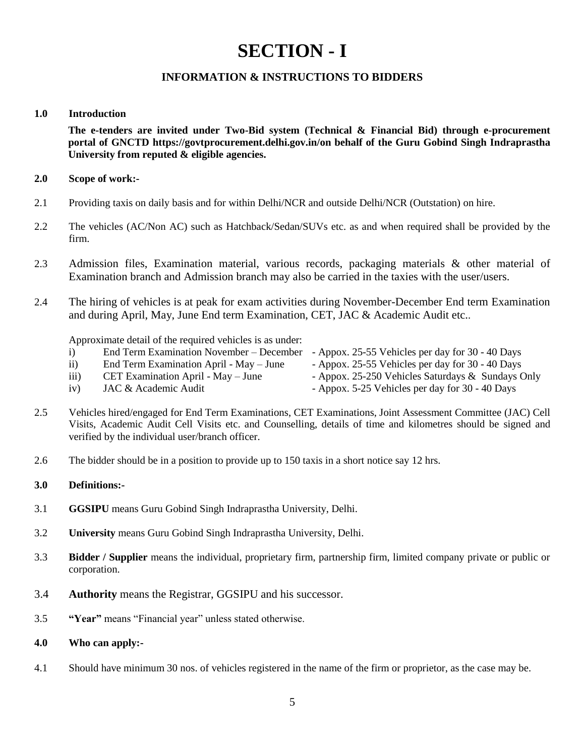# **SECTION - I**

# **INFORMATION & INSTRUCTIONS TO BIDDERS**

#### **1.0 Introduction**

**The e-tenders are invited under Two-Bid system (Technical & Financial Bid) through e-procurement portal of GNCTD https://govtprocurement.delhi.gov.in/on behalf of the Guru Gobind Singh Indraprastha University from reputed & eligible agencies.**

#### **2.0 Scope of work:-**

- 2.1 Providing taxis on daily basis and for within Delhi/NCR and outside Delhi/NCR (Outstation) on hire.
- 2.2 The vehicles (AC/Non AC) such as Hatchback/Sedan/SUVs etc. as and when required shall be provided by the firm.
- 2.3 Admission files, Examination material, various records, packaging materials & other material of Examination branch and Admission branch may also be carried in the taxies with the user/users.
- 2.4 The hiring of vehicles is at peak for exam activities during November-December End term Examination and during April, May, June End term Examination, CET, JAC & Academic Audit etc..

Approximate detail of the required vehicles is as under:

- i) End Term Examination November December Appox. 25-55 Vehicles per day for 30 40 Days
- ii) End Term Examination April May June Appox. 25-55 Vehicles per day for 30 40 Days
	-
- iii) CET Examination April May June Appox. 25-250 Vehicles Saturdays & Sundays Only
- iv) JAC & Academic Audit Appox. 5-25 Vehicles per day for 30 40 Days
- 
- 2.5 Vehicles hired/engaged for End Term Examinations, CET Examinations, Joint Assessment Committee (JAC) Cell Visits, Academic Audit Cell Visits etc. and Counselling, details of time and kilometres should be signed and verified by the individual user/branch officer.
- 2.6 The bidder should be in a position to provide up to 150 taxis in a short notice say 12 hrs.

### **3.0 Definitions:-**

- 3.1 **GGSIPU** means Guru Gobind Singh Indraprastha University, Delhi.
- 3.2 **University** means Guru Gobind Singh Indraprastha University, Delhi.
- 3.3 **Bidder / Supplier** means the individual, proprietary firm, partnership firm, limited company private or public or corporation.
- 3.4 **Authority** means the Registrar, GGSIPU and his successor.
- 3.5 **"Year"** means "Financial year" unless stated otherwise.
- **4.0 Who can apply:-**
- 4.1 Should have minimum 30 nos. of vehicles registered in the name of the firm or proprietor, as the case may be.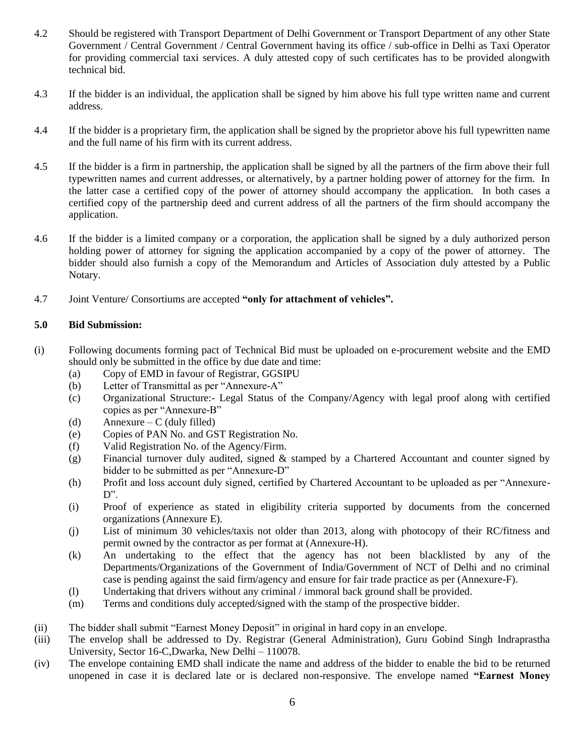- 4.2 Should be registered with Transport Department of Delhi Government or Transport Department of any other State Government / Central Government / Central Government having its office / sub-office in Delhi as Taxi Operator for providing commercial taxi services. A duly attested copy of such certificates has to be provided alongwith technical bid.
- 4.3 If the bidder is an individual, the application shall be signed by him above his full type written name and current address.
- 4.4 If the bidder is a proprietary firm, the application shall be signed by the proprietor above his full typewritten name and the full name of his firm with its current address.
- 4.5 If the bidder is a firm in partnership, the application shall be signed by all the partners of the firm above their full typewritten names and current addresses, or alternatively, by a partner holding power of attorney for the firm. In the latter case a certified copy of the power of attorney should accompany the application. In both cases a certified copy of the partnership deed and current address of all the partners of the firm should accompany the application.
- 4.6 If the bidder is a limited company or a corporation, the application shall be signed by a duly authorized person holding power of attorney for signing the application accompanied by a copy of the power of attorney. The bidder should also furnish a copy of the Memorandum and Articles of Association duly attested by a Public Notary.
- 4.7 Joint Venture/ Consortiums are accepted **"only for attachment of vehicles".**

#### **5.0 Bid Submission:**

- (i) Following documents forming pact of Technical Bid must be uploaded on e-procurement website and the EMD should only be submitted in the office by due date and time:
	- (a) Copy of EMD in favour of Registrar, GGSIPU
	- (b) Letter of Transmittal as per "Annexure-A"
	- (c) Organizational Structure:- Legal Status of the Company/Agency with legal proof along with certified copies as per "Annexure-B"
	- (d) Annexure C (duly filled)
	- (e) Copies of PAN No. and GST Registration No.
	- (f) Valid Registration No. of the Agency/Firm.
	- (g) Financial turnover duly audited, signed & stamped by a Chartered Accountant and counter signed by bidder to be submitted as per "Annexure-D"
	- (h) Profit and loss account duly signed, certified by Chartered Accountant to be uploaded as per "Annexure- $D$ ".
	- (i) Proof of experience as stated in eligibility criteria supported by documents from the concerned organizations (Annexure E).
	- (j) List of minimum 30 vehicles/taxis not older than 2013, along with photocopy of their RC/fitness and permit owned by the contractor as per format at (Annexure-H).
	- (k) An undertaking to the effect that the agency has not been blacklisted by any of the Departments/Organizations of the Government of India/Government of NCT of Delhi and no criminal case is pending against the said firm/agency and ensure for fair trade practice as per (Annexure-F).
	- (l) Undertaking that drivers without any criminal / immoral back ground shall be provided.
	- (m) Terms and conditions duly accepted/signed with the stamp of the prospective bidder.
- (ii) The bidder shall submit "Earnest Money Deposit" in original in hard copy in an envelope.
- (iii) The envelop shall be addressed to Dy. Registrar (General Administration), Guru Gobind Singh Indraprastha University, Sector 16-C,Dwarka, New Delhi – 110078.
- (iv) The envelope containing EMD shall indicate the name and address of the bidder to enable the bid to be returned unopened in case it is declared late or is declared non-responsive. The envelope named **"Earnest Money**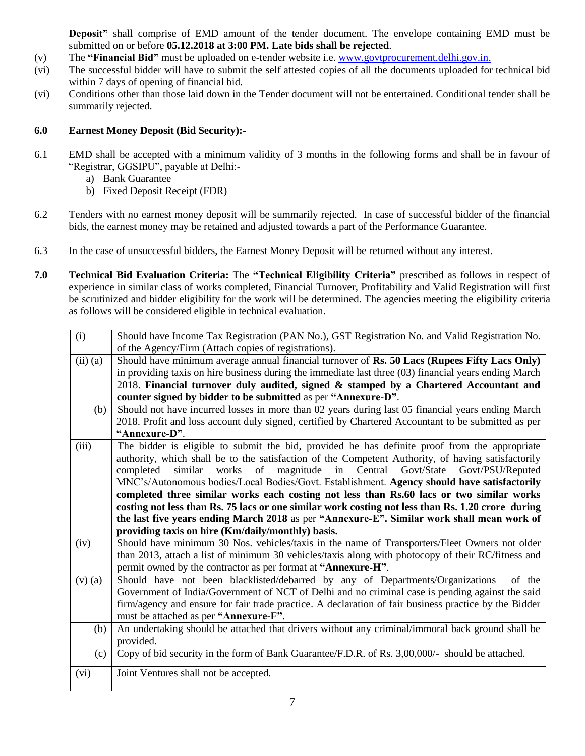**Deposit"** shall comprise of EMD amount of the tender document. The envelope containing EMD must be submitted on or before **05.12.2018 at 3:00 PM. Late bids shall be rejected**.

- (v) The **"Financial Bid"** must be uploaded on e-tender website i.e. [www.govtprocurement.delhi.gov.in.](http://www.govtprocurement.delhi.gov.in/)
- (vi) The successful bidder will have to submit the self attested copies of all the documents uploaded for technical bid within 7 days of opening of financial bid.
- (vi) Conditions other than those laid down in the Tender document will not be entertained. Conditional tender shall be summarily rejected.

#### **6.0 Earnest Money Deposit (Bid Security):-**

- 6.1 EMD shall be accepted with a minimum validity of 3 months in the following forms and shall be in favour of "Registrar, GGSIPU", payable at Delhi:
	- a) Bank Guarantee
	- b) Fixed Deposit Receipt (FDR)
- 6.2 Tenders with no earnest money deposit will be summarily rejected. In case of successful bidder of the financial bids, the earnest money may be retained and adjusted towards a part of the Performance Guarantee.
- 6.3 In the case of unsuccessful bidders, the Earnest Money Deposit will be returned without any interest.
- **7.0 Technical Bid Evaluation Criteria:** The **"Technical Eligibility Criteria"** prescribed as follows in respect of experience in similar class of works completed, Financial Turnover, Profitability and Valid Registration will first be scrutinized and bidder eligibility for the work will be determined. The agencies meeting the eligibility criteria as follows will be considered eligible in technical evaluation.

| (i)         | Should have Income Tax Registration (PAN No.), GST Registration No. and Valid Registration No.        |  |  |  |  |  |
|-------------|-------------------------------------------------------------------------------------------------------|--|--|--|--|--|
|             | of the Agency/Firm (Attach copies of registrations).                                                  |  |  |  |  |  |
| $(ii)$ (a)  | Should have minimum average annual financial turnover of Rs. 50 Lacs (Rupees Fifty Lacs Only)         |  |  |  |  |  |
|             | in providing taxis on hire business during the immediate last three (03) financial years ending March |  |  |  |  |  |
|             | 2018. Financial turnover duly audited, signed & stamped by a Chartered Accountant and                 |  |  |  |  |  |
|             | counter signed by bidder to be submitted as per "Annexure-D".                                         |  |  |  |  |  |
| (b)         | Should not have incurred losses in more than 02 years during last 05 financial years ending March     |  |  |  |  |  |
|             | 2018. Profit and loss account duly signed, certified by Chartered Accountant to be submitted as per   |  |  |  |  |  |
|             | "Annexure-D".                                                                                         |  |  |  |  |  |
| (iii)       | The bidder is eligible to submit the bid, provided he has definite proof from the appropriate         |  |  |  |  |  |
|             | authority, which shall be to the satisfaction of the Competent Authority, of having satisfactorily    |  |  |  |  |  |
|             | works of magnitude in Central<br>Govt/State<br>completed<br>similar<br>Govt/PSU/Reputed               |  |  |  |  |  |
|             | MNC's/Autonomous bodies/Local Bodies/Govt. Establishment. Agency should have satisfactorily           |  |  |  |  |  |
|             | completed three similar works each costing not less than Rs.60 lacs or two similar works              |  |  |  |  |  |
|             | costing not less than Rs. 75 lacs or one similar work costing not less than Rs. 1.20 crore during     |  |  |  |  |  |
|             | the last five years ending March 2018 as per "Annexure-E". Similar work shall mean work of            |  |  |  |  |  |
|             | providing taxis on hire (Km/daily/monthly) basis.                                                     |  |  |  |  |  |
| (iv)        | Should have minimum 30 Nos. vehicles/taxis in the name of Transporters/Fleet Owners not older         |  |  |  |  |  |
|             | than 2013, attach a list of minimum 30 vehicles/taxis along with photocopy of their RC/fitness and    |  |  |  |  |  |
|             | permit owned by the contractor as per format at "Annexure-H".                                         |  |  |  |  |  |
| $(v)$ $(a)$ | Should have not been blacklisted/debarred by any of Departments/Organizations<br>of the               |  |  |  |  |  |
|             | Government of India/Government of NCT of Delhi and no criminal case is pending against the said       |  |  |  |  |  |
|             | firm/agency and ensure for fair trade practice. A declaration of fair business practice by the Bidder |  |  |  |  |  |
|             | must be attached as per "Annexure-F".                                                                 |  |  |  |  |  |
| (b)         | An undertaking should be attached that drivers without any criminal/immoral back ground shall be      |  |  |  |  |  |
|             | provided.                                                                                             |  |  |  |  |  |
| (c)         | Copy of bid security in the form of Bank Guarantee/F.D.R. of Rs. 3,00,000/- should be attached.       |  |  |  |  |  |
| (vi)        | Joint Ventures shall not be accepted.                                                                 |  |  |  |  |  |
|             |                                                                                                       |  |  |  |  |  |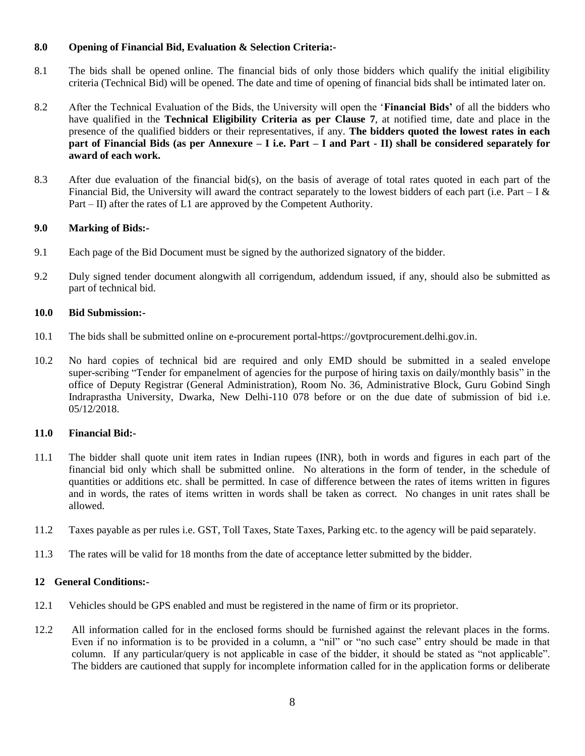#### **8.0 Opening of Financial Bid, Evaluation & Selection Criteria:-**

- 8.1 The bids shall be opened online. The financial bids of only those bidders which qualify the initial eligibility criteria (Technical Bid) will be opened. The date and time of opening of financial bids shall be intimated later on.
- 8.2 After the Technical Evaluation of the Bids, the University will open the "**Financial Bids'** of all the bidders who have qualified in the **Technical Eligibility Criteria as per Clause 7**, at notified time, date and place in the presence of the qualified bidders or their representatives, if any. **The bidders quoted the lowest rates in each part of Financial Bids (as per Annexure – I i.e. Part – I and Part - II) shall be considered separately for award of each work.**
- 8.3 After due evaluation of the financial bid(s), on the basis of average of total rates quoted in each part of the Financial Bid, the University will award the contract separately to the lowest bidders of each part (i.e. Part – I  $\&$ Part – II) after the rates of L1 are approved by the Competent Authority.

#### **9.0 Marking of Bids:-**

- 9.1 Each page of the Bid Document must be signed by the authorized signatory of the bidder.
- 9.2 Duly signed tender document alongwith all corrigendum, addendum issued, if any, should also be submitted as part of technical bid.

#### **10.0 Bid Submission:-**

- 10.1 The bids shall be submitted online on e-procurement portal-https://govtprocurement.delhi.gov.in.
- 10.2 No hard copies of technical bid are required and only EMD should be submitted in a sealed envelope super-scribing "Tender for empanelment of agencies for the purpose of hiring taxis on daily/monthly basis" in the office of Deputy Registrar (General Administration), Room No. 36, Administrative Block, Guru Gobind Singh Indraprastha University, Dwarka, New Delhi-110 078 before or on the due date of submission of bid i.e. 05/12/2018.

#### **11.0 Financial Bid:-**

- 11.1 The bidder shall quote unit item rates in Indian rupees (INR), both in words and figures in each part of the financial bid only which shall be submitted online. No alterations in the form of tender, in the schedule of quantities or additions etc. shall be permitted. In case of difference between the rates of items written in figures and in words, the rates of items written in words shall be taken as correct. No changes in unit rates shall be allowed.
- 11.2 Taxes payable as per rules i.e. GST, Toll Taxes, State Taxes, Parking etc. to the agency will be paid separately.
- 11.3 The rates will be valid for 18 months from the date of acceptance letter submitted by the bidder.

#### **12 General Conditions:-**

- 12.1 Vehicles should be GPS enabled and must be registered in the name of firm or its proprietor.
- 12.2 All information called for in the enclosed forms should be furnished against the relevant places in the forms. Even if no information is to be provided in a column, a "nil" or "no such case" entry should be made in that column. If any particular/query is not applicable in case of the bidder, it should be stated as "not applicable". The bidders are cautioned that supply for incomplete information called for in the application forms or deliberate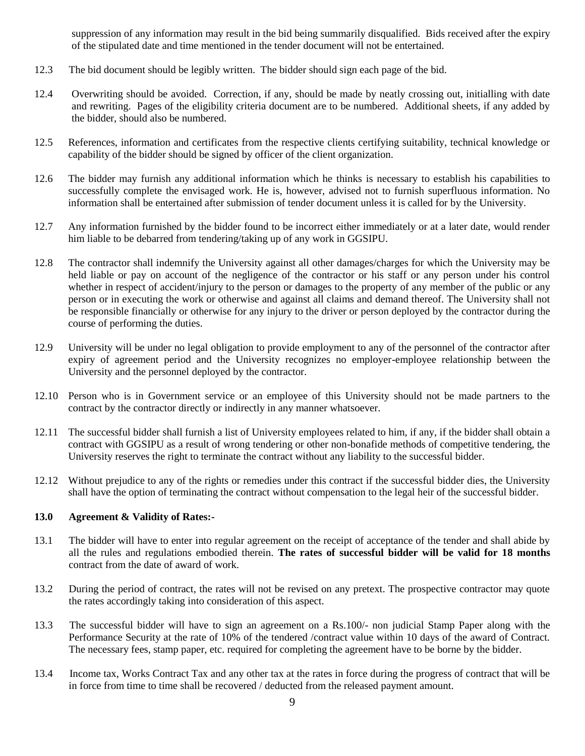suppression of any information may result in the bid being summarily disqualified. Bids received after the expiry of the stipulated date and time mentioned in the tender document will not be entertained.

- 12.3 The bid document should be legibly written. The bidder should sign each page of the bid.
- 12.4 Overwriting should be avoided. Correction, if any, should be made by neatly crossing out, initialling with date and rewriting. Pages of the eligibility criteria document are to be numbered. Additional sheets, if any added by the bidder, should also be numbered.
- 12.5 References, information and certificates from the respective clients certifying suitability, technical knowledge or capability of the bidder should be signed by officer of the client organization.
- 12.6 The bidder may furnish any additional information which he thinks is necessary to establish his capabilities to successfully complete the envisaged work. He is, however, advised not to furnish superfluous information. No information shall be entertained after submission of tender document unless it is called for by the University.
- 12.7 Any information furnished by the bidder found to be incorrect either immediately or at a later date, would render him liable to be debarred from tendering/taking up of any work in GGSIPU.
- 12.8 The contractor shall indemnify the University against all other damages/charges for which the University may be held liable or pay on account of the negligence of the contractor or his staff or any person under his control whether in respect of accident/injury to the person or damages to the property of any member of the public or any person or in executing the work or otherwise and against all claims and demand thereof. The University shall not be responsible financially or otherwise for any injury to the driver or person deployed by the contractor during the course of performing the duties.
- 12.9 University will be under no legal obligation to provide employment to any of the personnel of the contractor after expiry of agreement period and the University recognizes no employer-employee relationship between the University and the personnel deployed by the contractor.
- 12.10 Person who is in Government service or an employee of this University should not be made partners to the contract by the contractor directly or indirectly in any manner whatsoever.
- 12.11 The successful bidder shall furnish a list of University employees related to him, if any, if the bidder shall obtain a contract with GGSIPU as a result of wrong tendering or other non-bonafide methods of competitive tendering, the University reserves the right to terminate the contract without any liability to the successful bidder.
- 12.12 Without prejudice to any of the rights or remedies under this contract if the successful bidder dies, the University shall have the option of terminating the contract without compensation to the legal heir of the successful bidder.

#### **13.0 Agreement & Validity of Rates:-**

- 13.1 The bidder will have to enter into regular agreement on the receipt of acceptance of the tender and shall abide by all the rules and regulations embodied therein. **The rates of successful bidder will be valid for 18 months** contract from the date of award of work.
- 13.2 During the period of contract, the rates will not be revised on any pretext. The prospective contractor may quote the rates accordingly taking into consideration of this aspect.
- 13.3 The successful bidder will have to sign an agreement on a Rs.100/- non judicial Stamp Paper along with the Performance Security at the rate of 10% of the tendered /contract value within 10 days of the award of Contract. The necessary fees, stamp paper, etc. required for completing the agreement have to be borne by the bidder.
- 13.4 Income tax, Works Contract Tax and any other tax at the rates in force during the progress of contract that will be in force from time to time shall be recovered / deducted from the released payment amount.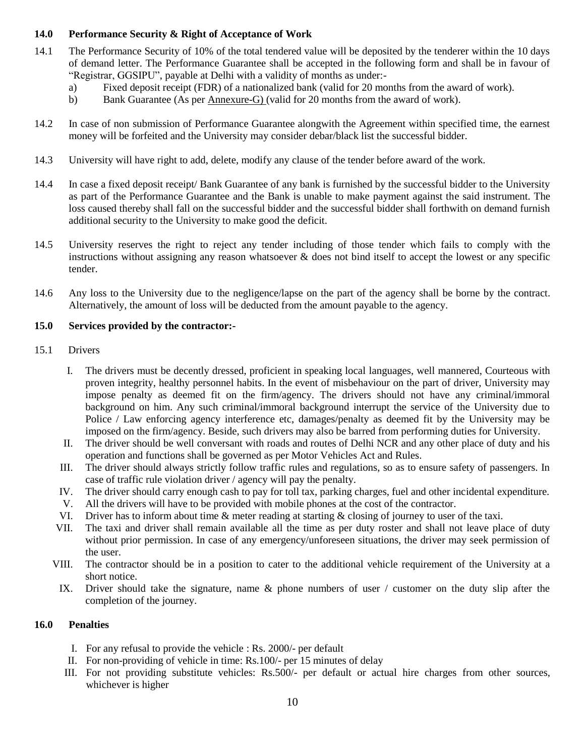#### **14.0 Performance Security & Right of Acceptance of Work**

- 14.1 The Performance Security of 10% of the total tendered value will be deposited by the tenderer within the 10 days of demand letter. The Performance Guarantee shall be accepted in the following form and shall be in favour of "Registrar, GGSIPU", payable at Delhi with a validity of months as under:
	- a) Fixed deposit receipt (FDR) of a nationalized bank (valid for 20 months from the award of work).
	- b) Bank Guarantee (As per Annexure-G) (valid for 20 months from the award of work).
- 14.2 In case of non submission of Performance Guarantee alongwith the Agreement within specified time, the earnest money will be forfeited and the University may consider debar/black list the successful bidder.
- 14.3 University will have right to add, delete, modify any clause of the tender before award of the work.
- 14.4 In case a fixed deposit receipt/ Bank Guarantee of any bank is furnished by the successful bidder to the University as part of the Performance Guarantee and the Bank is unable to make payment against the said instrument. The loss caused thereby shall fall on the successful bidder and the successful bidder shall forthwith on demand furnish additional security to the University to make good the deficit.
- 14.5 University reserves the right to reject any tender including of those tender which fails to comply with the instructions without assigning any reason whatsoever  $\&$  does not bind itself to accept the lowest or any specific tender.
- 14.6 Any loss to the University due to the negligence/lapse on the part of the agency shall be borne by the contract. Alternatively, the amount of loss will be deducted from the amount payable to the agency.

#### **15.0 Services provided by the contractor:-**

#### 15.1 Drivers

- I. The drivers must be decently dressed, proficient in speaking local languages, well mannered, Courteous with proven integrity, healthy personnel habits. In the event of misbehaviour on the part of driver, University may impose penalty as deemed fit on the firm/agency. The drivers should not have any criminal/immoral background on him. Any such criminal/immoral background interrupt the service of the University due to Police / Law enforcing agency interference etc, damages/penalty as deemed fit by the University may be imposed on the firm/agency. Beside, such drivers may also be barred from performing duties for University.
- II. The driver should be well conversant with roads and routes of Delhi NCR and any other place of duty and his operation and functions shall be governed as per Motor Vehicles Act and Rules.
- III. The driver should always strictly follow traffic rules and regulations, so as to ensure safety of passengers. In case of traffic rule violation driver / agency will pay the penalty.
- IV. The driver should carry enough cash to pay for toll tax, parking charges, fuel and other incidental expenditure.
- V. All the drivers will have to be provided with mobile phones at the cost of the contractor.
- VI. Driver has to inform about time & meter reading at starting & closing of journey to user of the taxi.
- VII. The taxi and driver shall remain available all the time as per duty roster and shall not leave place of duty without prior permission. In case of any emergency/unforeseen situations, the driver may seek permission of the user.
- VIII. The contractor should be in a position to cater to the additional vehicle requirement of the University at a short notice.
- IX. Driver should take the signature, name & phone numbers of user / customer on the duty slip after the completion of the journey.

#### **16.0 Penalties**

- I. For any refusal to provide the vehicle : Rs. 2000/- per default
- II. For non-providing of vehicle in time: Rs.100/- per 15 minutes of delay
- III. For not providing substitute vehicles: Rs.500/- per default or actual hire charges from other sources, whichever is higher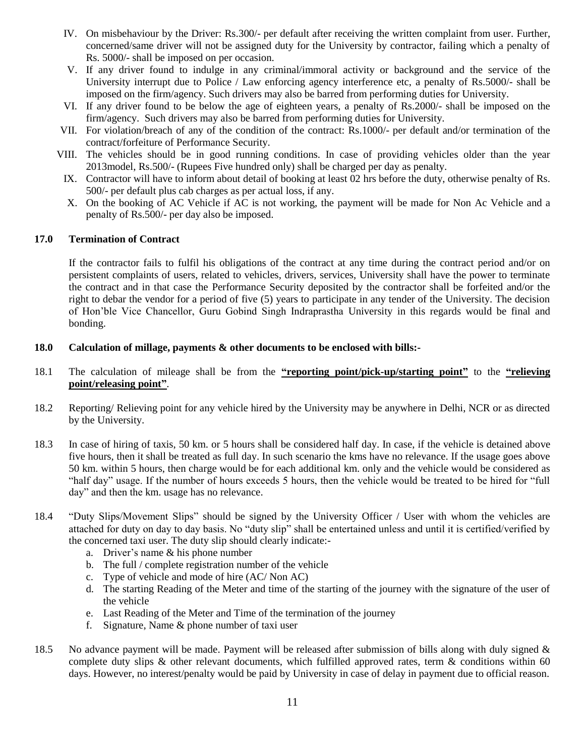- IV. On misbehaviour by the Driver: Rs.300/- per default after receiving the written complaint from user. Further, concerned/same driver will not be assigned duty for the University by contractor, failing which a penalty of Rs. 5000/- shall be imposed on per occasion.
- V. If any driver found to indulge in any criminal/immoral activity or background and the service of the University interrupt due to Police / Law enforcing agency interference etc, a penalty of Rs.5000/- shall be imposed on the firm/agency. Such drivers may also be barred from performing duties for University.
- VI. If any driver found to be below the age of eighteen years, a penalty of Rs.2000/- shall be imposed on the firm/agency. Such drivers may also be barred from performing duties for University.
- VII. For violation/breach of any of the condition of the contract: Rs.1000/- per default and/or termination of the contract/forfeiture of Performance Security.
- VIII. The vehicles should be in good running conditions. In case of providing vehicles older than the year 2013model, Rs.500/- (Rupees Five hundred only) shall be charged per day as penalty.
	- IX. Contractor will have to inform about detail of booking at least 02 hrs before the duty, otherwise penalty of Rs. 500/- per default plus cab charges as per actual loss, if any.
	- X. On the booking of AC Vehicle if AC is not working, the payment will be made for Non Ac Vehicle and a penalty of Rs.500/- per day also be imposed.

#### **17.0 Termination of Contract**

If the contractor fails to fulfil his obligations of the contract at any time during the contract period and/or on persistent complaints of users, related to vehicles, drivers, services, University shall have the power to terminate the contract and in that case the Performance Security deposited by the contractor shall be forfeited and/or the right to debar the vendor for a period of five (5) years to participate in any tender of the University. The decision of Hon"ble Vice Chancellor, Guru Gobind Singh Indraprastha University in this regards would be final and bonding.

#### **18.0 Calculation of millage, payments & other documents to be enclosed with bills:-**

- 18.1 The calculation of mileage shall be from the **"reporting point/pick-up/starting point"** to the **"relieving point/releasing point"**.
- 18.2 Reporting/ Relieving point for any vehicle hired by the University may be anywhere in Delhi, NCR or as directed by the University.
- 18.3 In case of hiring of taxis, 50 km. or 5 hours shall be considered half day. In case, if the vehicle is detained above five hours, then it shall be treated as full day. In such scenario the kms have no relevance. If the usage goes above 50 km. within 5 hours, then charge would be for each additional km. only and the vehicle would be considered as "half day" usage. If the number of hours exceeds 5 hours, then the vehicle would be treated to be hired for "full day" and then the km. usage has no relevance.
- 18.4 "Duty Slips/Movement Slips" should be signed by the University Officer / User with whom the vehicles are attached for duty on day to day basis. No "duty slip" shall be entertained unless and until it is certified/verified by the concerned taxi user. The duty slip should clearly indicate:
	- a. Driver"s name & his phone number
	- b. The full / complete registration number of the vehicle
	- c. Type of vehicle and mode of hire (AC/ Non AC)
	- d. The starting Reading of the Meter and time of the starting of the journey with the signature of the user of the vehicle
	- e. Last Reading of the Meter and Time of the termination of the journey
	- f. Signature, Name & phone number of taxi user
- 18.5 No advance payment will be made. Payment will be released after submission of bills along with duly signed  $\&$ complete duty slips & other relevant documents, which fulfilled approved rates, term & conditions within 60 days. However, no interest/penalty would be paid by University in case of delay in payment due to official reason.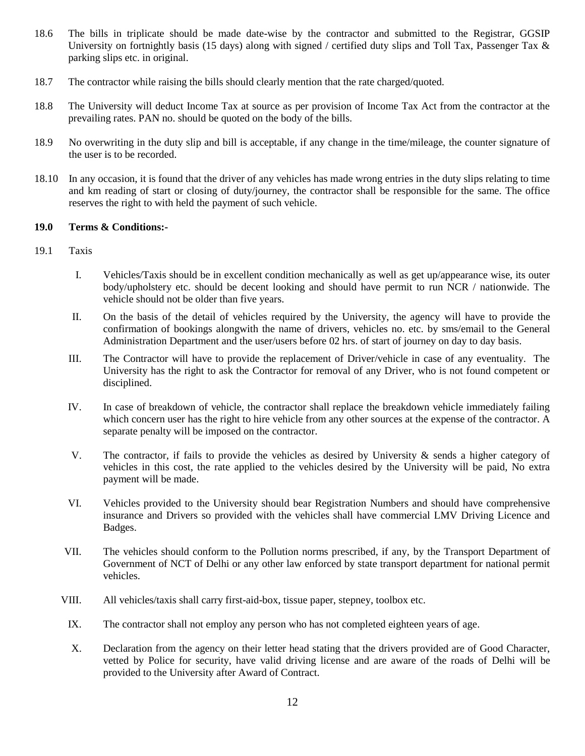- 18.6 The bills in triplicate should be made date-wise by the contractor and submitted to the Registrar, GGSIP University on fortnightly basis (15 days) along with signed / certified duty slips and Toll Tax, Passenger Tax  $\&$ parking slips etc. in original.
- 18.7 The contractor while raising the bills should clearly mention that the rate charged/quoted.
- 18.8 The University will deduct Income Tax at source as per provision of Income Tax Act from the contractor at the prevailing rates. PAN no. should be quoted on the body of the bills.
- 18.9 No overwriting in the duty slip and bill is acceptable, if any change in the time/mileage, the counter signature of the user is to be recorded.
- 18.10 In any occasion, it is found that the driver of any vehicles has made wrong entries in the duty slips relating to time and km reading of start or closing of duty/journey, the contractor shall be responsible for the same. The office reserves the right to with held the payment of such vehicle.

#### **19.0 Terms & Conditions:-**

- 19.1 Taxis
	- I. Vehicles/Taxis should be in excellent condition mechanically as well as get up/appearance wise, its outer body/upholstery etc. should be decent looking and should have permit to run NCR / nationwide. The vehicle should not be older than five years.
	- II. On the basis of the detail of vehicles required by the University, the agency will have to provide the confirmation of bookings alongwith the name of drivers, vehicles no. etc. by sms/email to the General Administration Department and the user/users before 02 hrs. of start of journey on day to day basis.
	- III. The Contractor will have to provide the replacement of Driver/vehicle in case of any eventuality. The University has the right to ask the Contractor for removal of any Driver, who is not found competent or disciplined.
	- IV. In case of breakdown of vehicle, the contractor shall replace the breakdown vehicle immediately failing which concern user has the right to hire vehicle from any other sources at the expense of the contractor. A separate penalty will be imposed on the contractor.
	- V. The contractor, if fails to provide the vehicles as desired by University & sends a higher category of vehicles in this cost, the rate applied to the vehicles desired by the University will be paid, No extra payment will be made.
	- VI. Vehicles provided to the University should bear Registration Numbers and should have comprehensive insurance and Drivers so provided with the vehicles shall have commercial LMV Driving Licence and Badges.
	- VII. The vehicles should conform to the Pollution norms prescribed, if any, by the Transport Department of Government of NCT of Delhi or any other law enforced by state transport department for national permit vehicles.
	- VIII. All vehicles/taxis shall carry first-aid-box, tissue paper, stepney, toolbox etc.
	- IX. The contractor shall not employ any person who has not completed eighteen years of age.
	- X. Declaration from the agency on their letter head stating that the drivers provided are of Good Character, vetted by Police for security, have valid driving license and are aware of the roads of Delhi will be provided to the University after Award of Contract.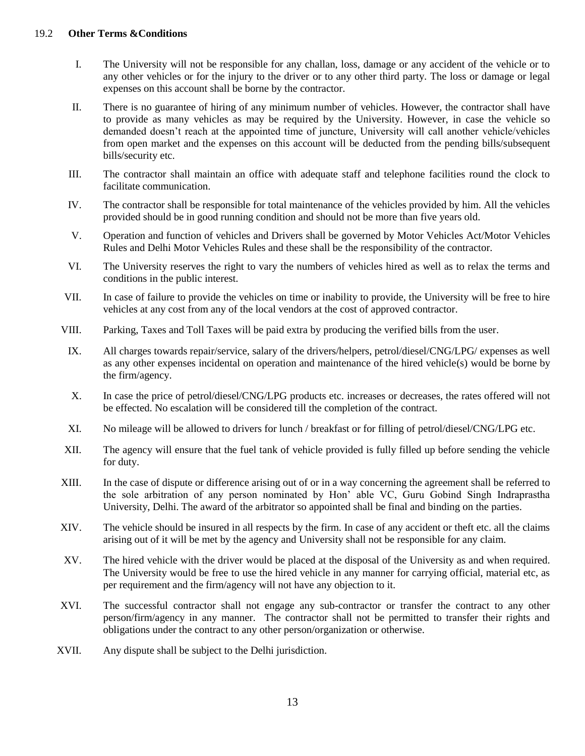#### 19.2 **Other Terms &Conditions**

- I. The University will not be responsible for any challan, loss, damage or any accident of the vehicle or to any other vehicles or for the injury to the driver or to any other third party. The loss or damage or legal expenses on this account shall be borne by the contractor.
- II. There is no guarantee of hiring of any minimum number of vehicles. However, the contractor shall have to provide as many vehicles as may be required by the University. However, in case the vehicle so demanded doesn't reach at the appointed time of juncture, University will call another vehicle/vehicles from open market and the expenses on this account will be deducted from the pending bills/subsequent bills/security etc.
- III. The contractor shall maintain an office with adequate staff and telephone facilities round the clock to facilitate communication.
- IV. The contractor shall be responsible for total maintenance of the vehicles provided by him. All the vehicles provided should be in good running condition and should not be more than five years old.
- V. Operation and function of vehicles and Drivers shall be governed by Motor Vehicles Act/Motor Vehicles Rules and Delhi Motor Vehicles Rules and these shall be the responsibility of the contractor.
- VI. The University reserves the right to vary the numbers of vehicles hired as well as to relax the terms and conditions in the public interest.
- VII. In case of failure to provide the vehicles on time or inability to provide, the University will be free to hire vehicles at any cost from any of the local vendors at the cost of approved contractor.
- VIII. Parking, Taxes and Toll Taxes will be paid extra by producing the verified bills from the user.
- IX. All charges towards repair/service, salary of the drivers/helpers, petrol/diesel/CNG/LPG/ expenses as well as any other expenses incidental on operation and maintenance of the hired vehicle(s) would be borne by the firm/agency.
- X. In case the price of petrol/diesel/CNG/LPG products etc. increases or decreases, the rates offered will not be effected. No escalation will be considered till the completion of the contract.
- XI. No mileage will be allowed to drivers for lunch / breakfast or for filling of petrol/diesel/CNG/LPG etc.
- XII. The agency will ensure that the fuel tank of vehicle provided is fully filled up before sending the vehicle for duty.
- XIII. In the case of dispute or difference arising out of or in a way concerning the agreement shall be referred to the sole arbitration of any person nominated by Hon" able VC, Guru Gobind Singh Indraprastha University, Delhi. The award of the arbitrator so appointed shall be final and binding on the parties.
- XIV. The vehicle should be insured in all respects by the firm. In case of any accident or theft etc. all the claims arising out of it will be met by the agency and University shall not be responsible for any claim.
- XV. The hired vehicle with the driver would be placed at the disposal of the University as and when required. The University would be free to use the hired vehicle in any manner for carrying official, material etc, as per requirement and the firm/agency will not have any objection to it.
- XVI. The successful contractor shall not engage any sub-contractor or transfer the contract to any other person/firm/agency in any manner. The contractor shall not be permitted to transfer their rights and obligations under the contract to any other person/organization or otherwise.
- XVII. Any dispute shall be subject to the Delhi jurisdiction.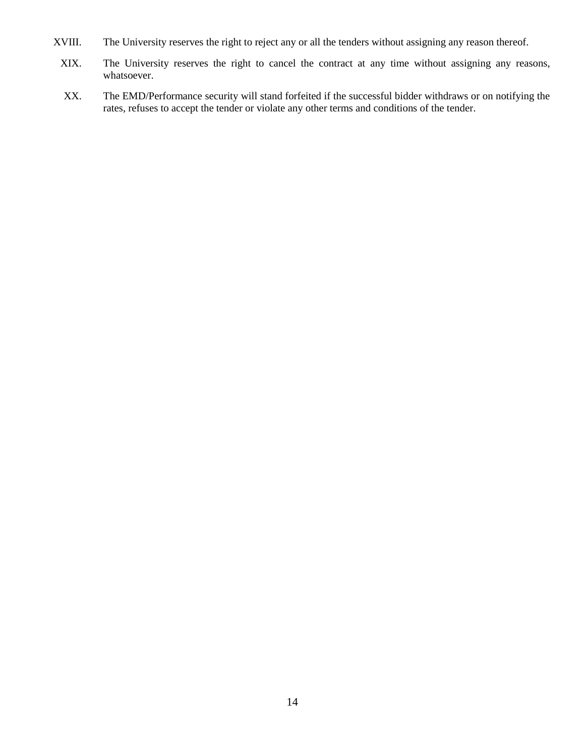- XVIII. The University reserves the right to reject any or all the tenders without assigning any reason thereof.
	- XIX. The University reserves the right to cancel the contract at any time without assigning any reasons, whatsoever.
	- XX. The EMD/Performance security will stand forfeited if the successful bidder withdraws or on notifying the rates, refuses to accept the tender or violate any other terms and conditions of the tender.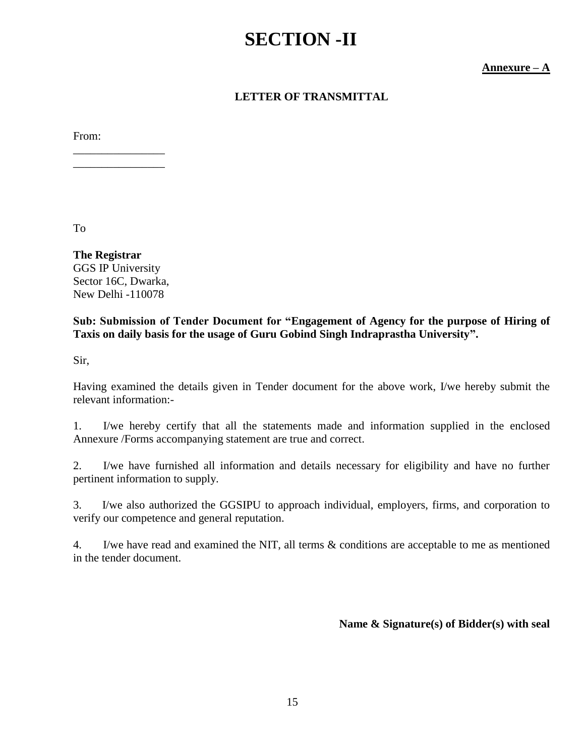# **SECTION -II**

**Annexure – A**

# **LETTER OF TRANSMITTAL**

From:

To

**The Registrar** GGS IP University Sector 16C, Dwarka, New Delhi -110078

\_\_\_\_\_\_\_\_\_\_\_\_\_\_\_\_ \_\_\_\_\_\_\_\_\_\_\_\_\_\_\_\_

## **Sub: Submission of Tender Document for "Engagement of Agency for the purpose of Hiring of Taxis on daily basis for the usage of Guru Gobind Singh Indraprastha University".**

Sir,

Having examined the details given in Tender document for the above work, I/we hereby submit the relevant information:-

1. I/we hereby certify that all the statements made and information supplied in the enclosed Annexure /Forms accompanying statement are true and correct.

2. I/we have furnished all information and details necessary for eligibility and have no further pertinent information to supply.

3. I/we also authorized the GGSIPU to approach individual, employers, firms, and corporation to verify our competence and general reputation.

4. I/we have read and examined the NIT, all terms & conditions are acceptable to me as mentioned in the tender document.

**Name & Signature(s) of Bidder(s) with seal**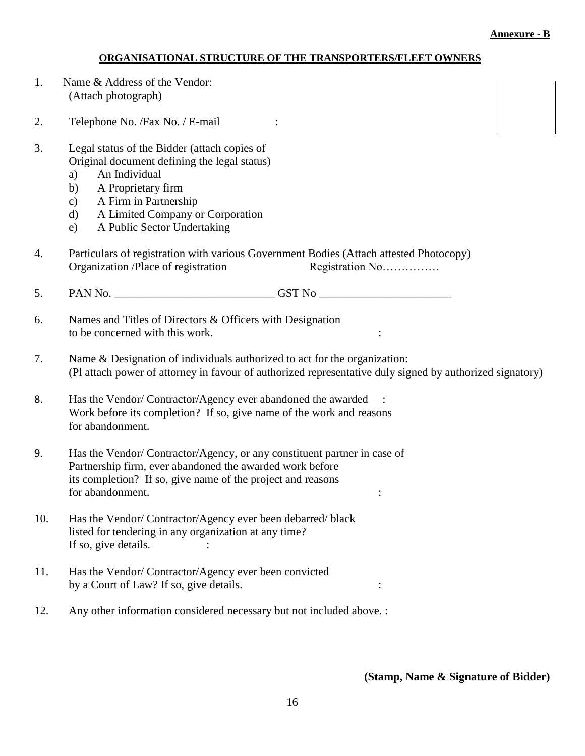## **ORGANISATIONAL STRUCTURE OF THE TRANSPORTERS/FLEET OWNERS**

1. Name & Address of the Vendor: (Attach photograph)

2. Telephone No. / Fax No. / E-mail :

- 3. Legal status of the Bidder (attach copies of Original document defining the legal status)
	- a) An Individual
	- b) A Proprietary firm
	- c) A Firm in Partnership
	- d) A Limited Company or Corporation
	- e) A Public Sector Undertaking
- 4. Particulars of registration with various Government Bodies (Attach attested Photocopy) Organization /Place of registration Registration No……………
- 5. PAN No. \_\_\_\_\_\_\_\_\_\_\_\_\_\_\_\_\_\_\_\_\_\_\_\_\_\_\_\_ GST No \_\_\_\_\_\_\_\_\_\_\_\_\_\_\_\_\_\_\_\_\_\_\_
- 6. Names and Titles of Directors & Officers with Designation to be concerned with this work.
- 7. Name & Designation of individuals authorized to act for the organization: (Pl attach power of attorney in favour of authorized representative duly signed by authorized signatory)
- 8. Has the Vendor/ Contractor/Agency ever abandoned the awarded : Work before its completion? If so, give name of the work and reasons for abandonment.
- 9. Has the Vendor/ Contractor/Agency, or any constituent partner in case of Partnership firm, ever abandoned the awarded work before its completion? If so, give name of the project and reasons for abandonment.  $\cdot$  :
- 10. Has the Vendor/ Contractor/Agency ever been debarred/ black listed for tendering in any organization at any time? If so, give details.  $\cdot$  :
- 11. Has the Vendor/ Contractor/Agency ever been convicted by a Court of Law? If so, give details.
- 12. Any other information considered necessary but not included above. :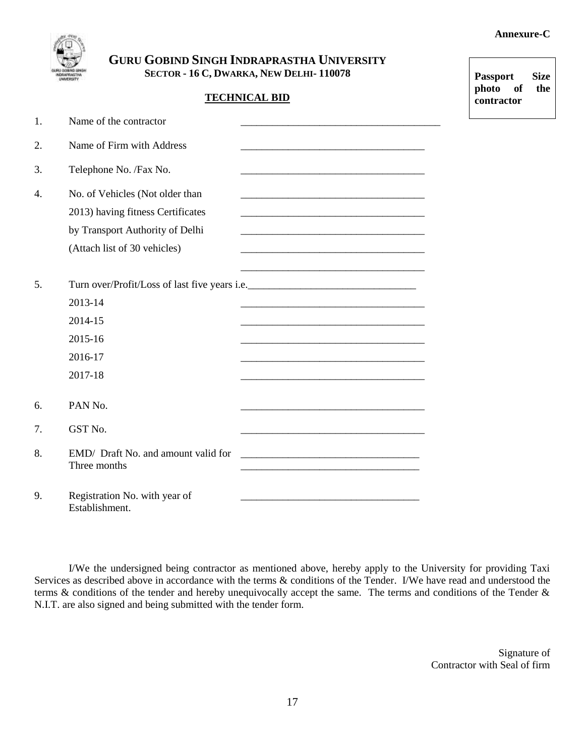**Passport Size photo of the contractor** 



**GURU GOBIND SINGH INDRAPRASTHA UNIVERSITY SECTOR - 16 C, DWARKA, NEW DELHI- 110078**

### **TECHNICAL BID**

| 1. | Name of the contractor                                                                                                                  |                                                                                                                      |
|----|-----------------------------------------------------------------------------------------------------------------------------------------|----------------------------------------------------------------------------------------------------------------------|
| 2. | Name of Firm with Address                                                                                                               |                                                                                                                      |
| 3. | Telephone No. /Fax No.                                                                                                                  | <u> 1989 - Johann Barbara, martin amerikan basar dan berasal dalam basa dalam basa dalam basa dalam basa dalam b</u> |
| 4. | No. of Vehicles (Not older than<br>2013) having fitness Certificates<br>by Transport Authority of Delhi<br>(Attach list of 30 vehicles) |                                                                                                                      |
| 5. | 2013-14<br>2014-15<br>2015-16<br>2016-17<br>2017-18                                                                                     |                                                                                                                      |
| 6. | PAN No.                                                                                                                                 |                                                                                                                      |
| 7. | GST No.                                                                                                                                 |                                                                                                                      |
| 8. | EMD/ Draft No. and amount valid for<br>Three months                                                                                     |                                                                                                                      |
| 9. | Registration No. with year of<br>Establishment.                                                                                         |                                                                                                                      |

I/We the undersigned being contractor as mentioned above, hereby apply to the University for providing Taxi Services as described above in accordance with the terms  $\&$  conditions of the Tender. I/We have read and understood the terms & conditions of the tender and hereby unequivocally accept the same. The terms and conditions of the Tender & N.I.T. are also signed and being submitted with the tender form.

> Signature of Contractor with Seal of firm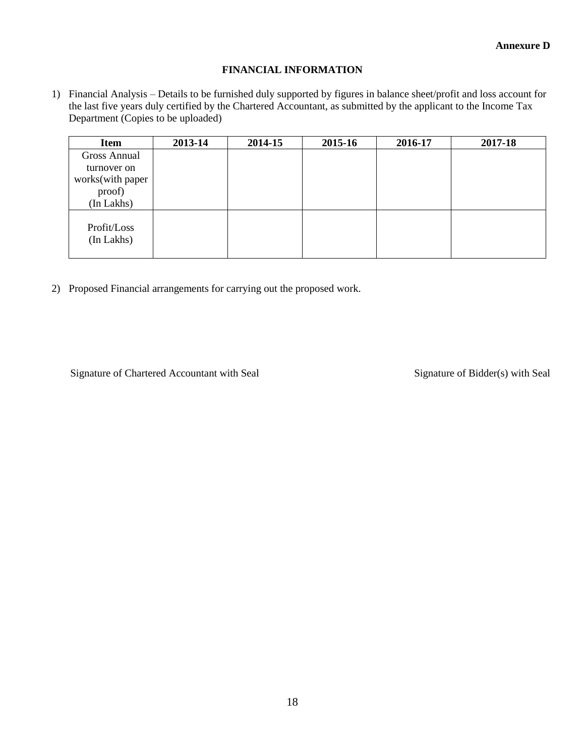#### **FINANCIAL INFORMATION**

1) Financial Analysis – Details to be furnished duly supported by figures in balance sheet/profit and loss account for the last five years duly certified by the Chartered Accountant, as submitted by the applicant to the Income Tax Department (Copies to be uploaded)

| <b>Item</b>               | 2013-14 | 2014-15 | 2015-16 | 2016-17 | 2017-18 |
|---------------------------|---------|---------|---------|---------|---------|
| <b>Gross Annual</b>       |         |         |         |         |         |
| turnover on               |         |         |         |         |         |
| works(with paper          |         |         |         |         |         |
| proof)                    |         |         |         |         |         |
| (In Lakhs)                |         |         |         |         |         |
| Profit/Loss<br>(In Lakhs) |         |         |         |         |         |

2) Proposed Financial arrangements for carrying out the proposed work.

Signature of Chartered Accountant with Seal Signature of Bidder(s) with Seal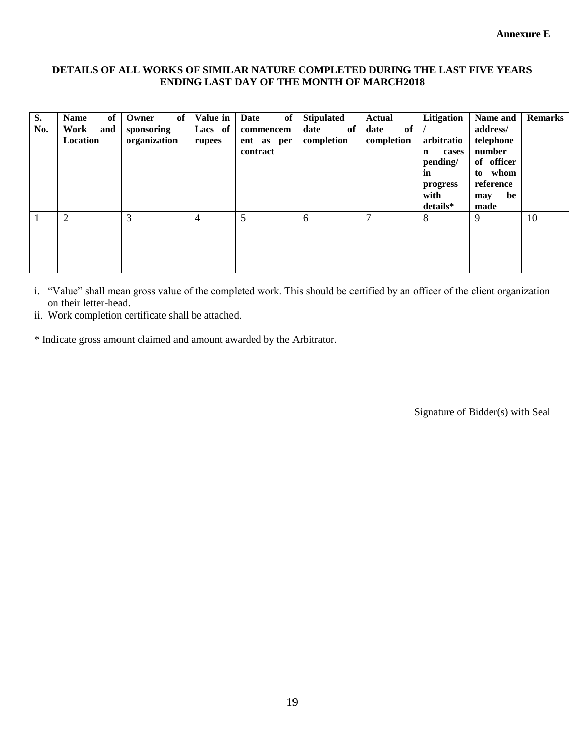#### **DETAILS OF ALL WORKS OF SIMILAR NATURE COMPLETED DURING THE LAST FIVE YEARS ENDING LAST DAY OF THE MONTH OF MARCH2018**

| S.<br>No. | <b>Name</b><br>of<br>Work<br>and<br>Location | of<br>Owner<br>sponsoring<br>organization | Value in<br>Lacs of<br>rupees | of<br>Date<br>commencem<br>ent as per<br>contract | <b>Stipulated</b><br>of<br>date<br>completion | Actual<br>of<br>date<br>completion | Litigation<br>arbitratio<br>cases<br>n<br>pending/<br>in<br>progress<br>with<br>details* | Name and<br>address/<br>telephone<br>number<br>of officer<br>whom<br>to<br>reference<br>be<br>may<br>made | <b>Remarks</b> |
|-----------|----------------------------------------------|-------------------------------------------|-------------------------------|---------------------------------------------------|-----------------------------------------------|------------------------------------|------------------------------------------------------------------------------------------|-----------------------------------------------------------------------------------------------------------|----------------|
|           | 2                                            | 3                                         | 4                             | 5                                                 | 6                                             | ⇁                                  | 8                                                                                        | 9                                                                                                         | 10             |
|           |                                              |                                           |                               |                                                   |                                               |                                    |                                                                                          |                                                                                                           |                |

i. "Value" shall mean gross value of the completed work. This should be certified by an officer of the client organization on their letter-head.

ii. Work completion certificate shall be attached.

\* Indicate gross amount claimed and amount awarded by the Arbitrator.

Signature of Bidder(s) with Seal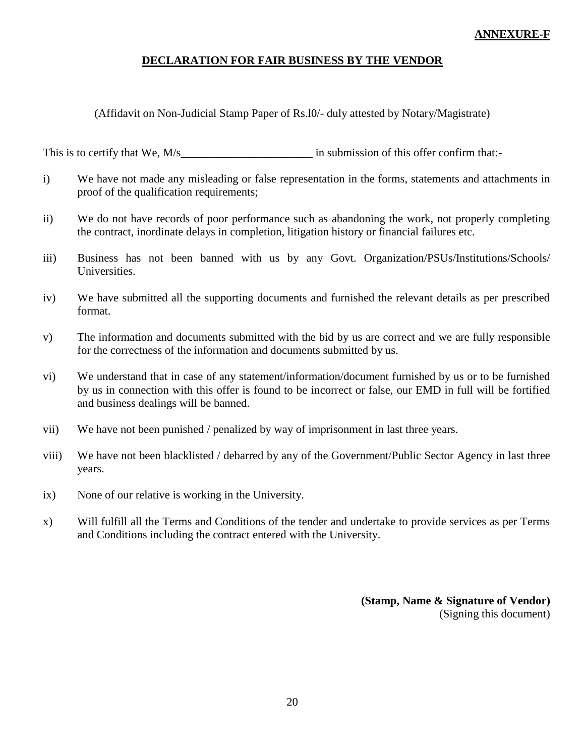## **ANNEXURE-F**

### **DECLARATION FOR FAIR BUSINESS BY THE VENDOR**

(Affidavit on Non-Judicial Stamp Paper of Rs.l0/- duly attested by Notary/Magistrate)

This is to certify that We, M/s\_\_\_\_\_\_\_\_\_\_\_\_\_\_\_\_\_\_\_\_\_\_\_ in submission of this offer confirm that:-

- i) We have not made any misleading or false representation in the forms, statements and attachments in proof of the qualification requirements;
- ii) We do not have records of poor performance such as abandoning the work, not properly completing the contract, inordinate delays in completion, litigation history or financial failures etc.
- iii) Business has not been banned with us by any Govt. Organization/PSUs/Institutions/Schools/ Universities.
- iv) We have submitted all the supporting documents and furnished the relevant details as per prescribed format.
- v) The information and documents submitted with the bid by us are correct and we are fully responsible for the correctness of the information and documents submitted by us.
- vi) We understand that in case of any statement/information/document furnished by us or to be furnished by us in connection with this offer is found to be incorrect or false, our EMD in full will be fortified and business dealings will be banned.
- vii) We have not been punished / penalized by way of imprisonment in last three years.
- viii) We have not been blacklisted / debarred by any of the Government/Public Sector Agency in last three years.
- ix) None of our relative is working in the University.
- x) Will fulfill all the Terms and Conditions of the tender and undertake to provide services as per Terms and Conditions including the contract entered with the University.

**(Stamp, Name & Signature of Vendor)** (Signing this document)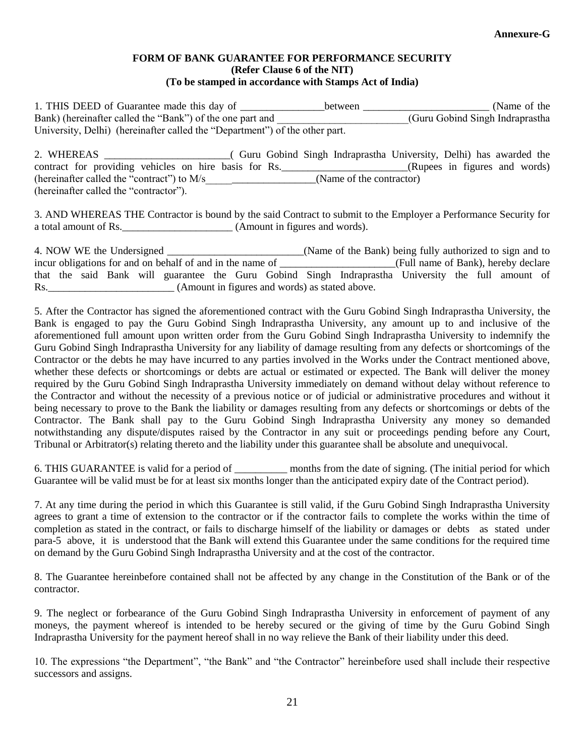#### **FORM OF BANK GUARANTEE FOR PERFORMANCE SECURITY (Refer Clause 6 of the NIT) (To be stamped in accordance with Stamps Act of India)**

1. THIS DEED of Guarantee made this day of \_\_\_\_\_\_\_\_\_\_\_\_\_\_\_between \_\_\_\_\_\_\_\_\_\_\_\_\_\_\_\_\_\_\_\_\_\_\_\_\_\_\_\_ (Name of the Bank) (hereinafter called the "Bank") of the one part and  $(Guru Gobind Singh Indraprashla)$ University, Delhi) (hereinafter called the "Department") of the other part.

| 2. WHEREAS                                            |  | Guru Gobind Singh Indraprastha University, Delhi) has awarded the |                               |  |  |
|-------------------------------------------------------|--|-------------------------------------------------------------------|-------------------------------|--|--|
| contract for providing vehicles on hire basis for Rs. |  |                                                                   | (Rupees in figures and words) |  |  |
| (hereinafter called the "contract") to M/s            |  | (Name of the contractor)                                          |                               |  |  |
| (hereinafter called the "contractor").                |  |                                                                   |                               |  |  |

3. AND WHEREAS THE Contractor is bound by the said Contract to submit to the Employer a Performance Security for a total amount of Rs. \_\_\_\_\_\_\_\_\_\_\_\_\_\_\_\_\_\_\_\_\_\_ (Amount in figures and words).

|     |  | 4. NOW WE the Undersigned |                                                           |  |  | (Name of the Bank) being fully authorized to sign and to                                           |                                     |  |  |
|-----|--|---------------------------|-----------------------------------------------------------|--|--|----------------------------------------------------------------------------------------------------|-------------------------------------|--|--|
|     |  |                           | incur obligations for and on behalf of and in the name of |  |  |                                                                                                    | (Full name of Bank), hereby declare |  |  |
|     |  |                           |                                                           |  |  | that the said Bank will guarantee the Guru Gobind Singh Indraprastha University the full amount of |                                     |  |  |
| Rs. |  |                           |                                                           |  |  | (Amount in figures and words) as stated above.                                                     |                                     |  |  |

5. After the Contractor has signed the aforementioned contract with the Guru Gobind Singh Indraprastha University, the Bank is engaged to pay the Guru Gobind Singh Indraprastha University, any amount up to and inclusive of the aforementioned full amount upon written order from the Guru Gobind Singh Indraprastha University to indemnify the Guru Gobind Singh Indraprastha University for any liability of damage resulting from any defects or shortcomings of the Contractor or the debts he may have incurred to any parties involved in the Works under the Contract mentioned above, whether these defects or shortcomings or debts are actual or estimated or expected. The Bank will deliver the money required by the Guru Gobind Singh Indraprastha University immediately on demand without delay without reference to the Contractor and without the necessity of a previous notice or of judicial or administrative procedures and without it being necessary to prove to the Bank the liability or damages resulting from any defects or shortcomings or debts of the Contractor. The Bank shall pay to the Guru Gobind Singh Indraprastha University any money so demanded notwithstanding any dispute/disputes raised by the Contractor in any suit or proceedings pending before any Court, Tribunal or Arbitrator(s) relating thereto and the liability under this guarantee shall be absolute and unequivocal.

6. THIS GUARANTEE is valid for a period of \_\_\_\_\_\_\_\_\_\_ months from the date of signing. (The initial period for which Guarantee will be valid must be for at least six months longer than the anticipated expiry date of the Contract period).

7. At any time during the period in which this Guarantee is still valid, if the Guru Gobind Singh Indraprastha University agrees to grant a time of extension to the contractor or if the contractor fails to complete the works within the time of completion as stated in the contract, or fails to discharge himself of the liability or damages or debts as stated under para-5 above, it is understood that the Bank will extend this Guarantee under the same conditions for the required time on demand by the Guru Gobind Singh Indraprastha University and at the cost of the contractor.

8. The Guarantee hereinbefore contained shall not be affected by any change in the Constitution of the Bank or of the contractor.

9. The neglect or forbearance of the Guru Gobind Singh Indraprastha University in enforcement of payment of any moneys, the payment whereof is intended to be hereby secured or the giving of time by the Guru Gobind Singh Indraprastha University for the payment hereof shall in no way relieve the Bank of their liability under this deed.

10. The expressions "the Department", "the Bank" and "the Contractor" hereinbefore used shall include their respective successors and assigns.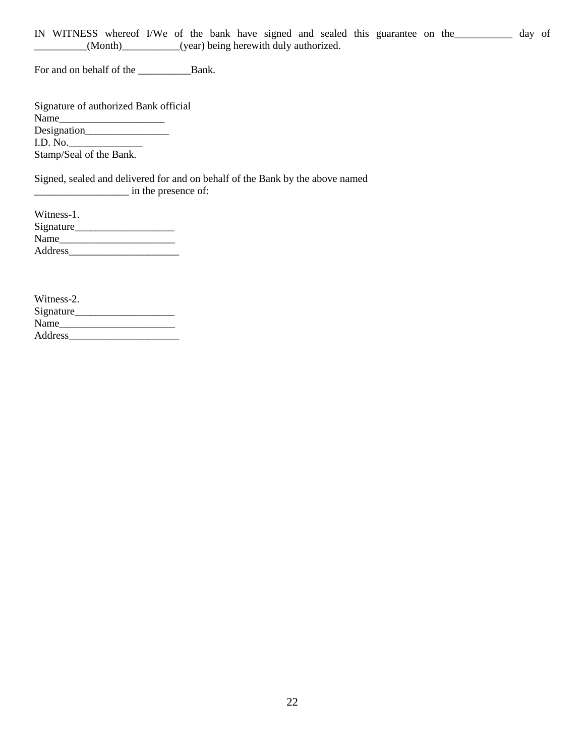IN WITNESS whereof I/We of the bank have signed and sealed this guarantee on the\_\_\_\_\_\_\_\_\_\_\_ day of \_\_\_\_\_\_\_\_\_\_(Month)\_\_\_\_\_\_\_\_\_\_\_(year) being herewith duly authorized.

For and on behalf of the \_\_\_\_\_\_\_\_\_\_Bank.

| Name                    | Signature of authorized Bank official |
|-------------------------|---------------------------------------|
|                         |                                       |
|                         |                                       |
| I.D. No.                |                                       |
| Stamp/Seal of the Bank. |                                       |

Signed, sealed and delivered for and on behalf of the Bank by the above named \_\_\_\_\_\_\_\_\_\_\_\_\_\_\_\_\_\_ in the presence of:

| Witness-1. |  |
|------------|--|
| Signature  |  |
| Name       |  |
| Address    |  |

| Witness-2. |  |
|------------|--|
| Signature  |  |
| Name       |  |
| Address    |  |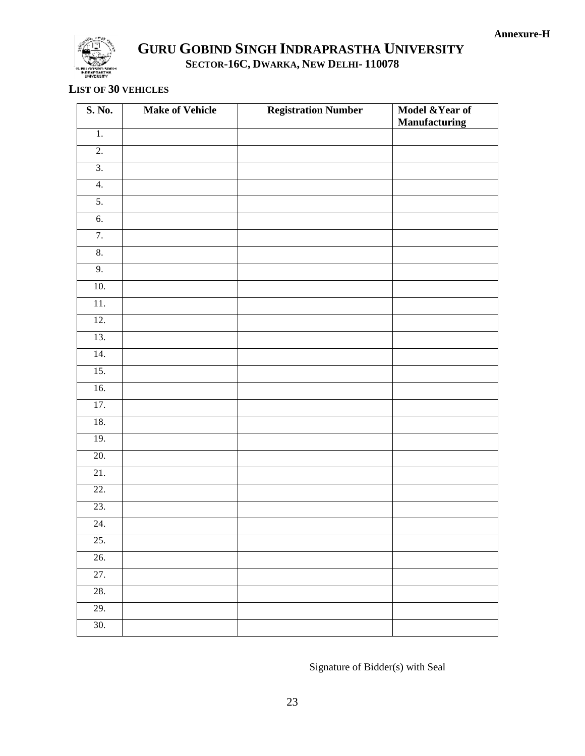

# **GURU GOBIND SINGH INDRAPRASTHA UNIVERSITY SECTOR-16C, DWARKA, NEW DELHI- 110078**

### **LIST OF 30 VEHICLES**

| S. No.            | <b>Make of Vehicle</b> | <b>Registration Number</b> | Model & Year of<br><b>Manufacturing</b> |
|-------------------|------------------------|----------------------------|-----------------------------------------|
| $1. \,$           |                        |                            |                                         |
| $\overline{2}$ .  |                        |                            |                                         |
| $\overline{3}$ .  |                        |                            |                                         |
| $\overline{4}$ .  |                        |                            |                                         |
| 5.                |                        |                            |                                         |
| $\overline{6}$ .  |                        |                            |                                         |
| 7.                |                        |                            |                                         |
| $\overline{8}$ .  |                        |                            |                                         |
| 9.                |                        |                            |                                         |
| 10.               |                        |                            |                                         |
| $\overline{11}$ . |                        |                            |                                         |
| 12.               |                        |                            |                                         |
| 13.               |                        |                            |                                         |
| 14.               |                        |                            |                                         |
| 15.               |                        |                            |                                         |
| 16.               |                        |                            |                                         |
| 17.               |                        |                            |                                         |
| 18.               |                        |                            |                                         |
| 19.               |                        |                            |                                         |
| 20.               |                        |                            |                                         |
| 21.               |                        |                            |                                         |
| 22.               |                        |                            |                                         |
| 23.               |                        |                            |                                         |
| 24.               |                        |                            |                                         |
| 25.               |                        |                            |                                         |
| 26.               |                        |                            |                                         |
| $\overline{27}$ . |                        |                            |                                         |
| 28.               |                        |                            |                                         |
| 29.               |                        |                            |                                         |
| 30.               |                        |                            |                                         |

Signature of Bidder(s) with Seal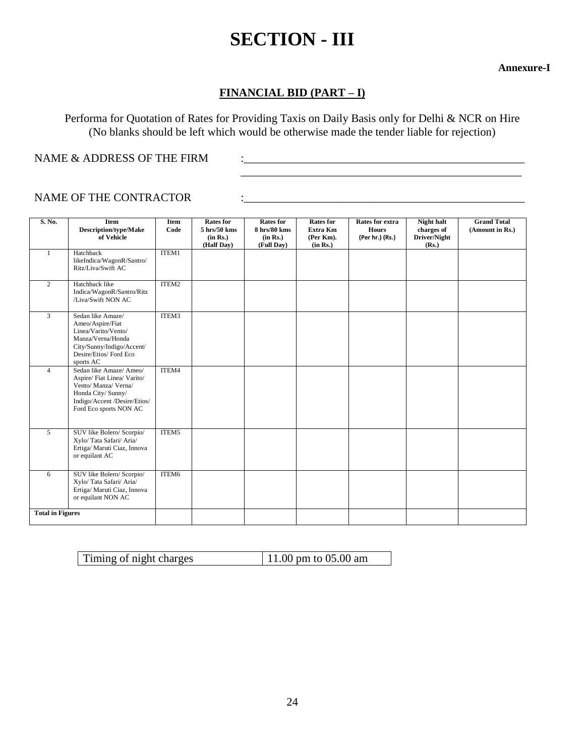# **SECTION - III**

**Annexure-I**

# **FINANCIAL BID (PART – I)**

Performa for Quotation of Rates for Providing Taxis on Daily Basis only for Delhi & NCR on Hire (No blanks should be left which would be otherwise made the tender liable for rejection)

\_\_\_\_\_\_\_\_\_\_\_\_\_\_\_\_\_\_\_\_\_\_\_\_\_\_\_\_\_\_\_\_\_\_\_\_\_\_\_\_\_\_\_\_\_\_\_\_\_

NAME & ADDRESS OF THE FIRM  $\qquad$  :

## NAME OF THE CONTRACTOR  $\qquad \qquad :$

| S. No.                  | Item<br><b>Description/type/Make</b><br>of Vehicle                                                                                                          | Item<br>Code | <b>Rates for</b><br>$5 \text{ hrs}/50 \text{ km}$ s<br>(in Rs.)<br>(Half Day) | <b>Rates for</b><br>8 hrs/80 kms<br>(in Rs.)<br>(Full Day) | <b>Rates for</b><br>Extra Km<br>(Per Km).<br>(in Rs.) | Rates for extra<br><b>Hours</b><br>(Per hr.) (Rs.) | Night halt<br>charges of<br>Driver/Night<br>(Rs.) | <b>Grand Total</b><br>(Amount in Rs.) |
|-------------------------|-------------------------------------------------------------------------------------------------------------------------------------------------------------|--------------|-------------------------------------------------------------------------------|------------------------------------------------------------|-------------------------------------------------------|----------------------------------------------------|---------------------------------------------------|---------------------------------------|
| $\mathbf{1}$            | Hatchback<br>likeIndica/WagonR/Santro/<br>Ritz/Liva/Swift AC                                                                                                | ITEM1        |                                                                               |                                                            |                                                       |                                                    |                                                   |                                       |
| $\overline{2}$          | Hatchback like<br>Indica/WagonR/Santro/Ritz<br>/Liva/Swift NON AC                                                                                           | ITEM2        |                                                                               |                                                            |                                                       |                                                    |                                                   |                                       |
| 3                       | Sedan like Amaze/<br>Ameo/Aspire/Fiat<br>Linea/Varito/Vento/<br>Manza/Verna/Honda<br>City/Sunny/Indigo/Accent/<br>Desire/Etios/Ford Eco<br>sports AC        | ITEM3        |                                                                               |                                                            |                                                       |                                                    |                                                   |                                       |
| $\overline{4}$          | Sedan like Amaze/Ameo/<br>Aspire/Fiat Linea/Varito/<br>Vento/ Manza/ Verna/<br>Honda City/ Sunny/<br>Indigo/Accent /Desire/Etios/<br>Ford Eco sports NON AC | ITEM4        |                                                                               |                                                            |                                                       |                                                    |                                                   |                                       |
| 5                       | SUV like Bolero/ Scorpio/<br>Xylo/Tata Safari/Aria/<br>Ertiga/ Maruti Ciaz, Innova<br>or equilant AC                                                        | ITEM5        |                                                                               |                                                            |                                                       |                                                    |                                                   |                                       |
| 6                       | SUV like Bolero/ Scorpio/<br>Xylo/Tata Safari/Aria/<br>Ertiga/ Maruti Ciaz, Innova<br>or equilant NON AC                                                    | ITEM6        |                                                                               |                                                            |                                                       |                                                    |                                                   |                                       |
| <b>Total in Figures</b> |                                                                                                                                                             |              |                                                                               |                                                            |                                                       |                                                    |                                                   |                                       |

| $11.00 \text{ pm}$ to 05.00 am<br>Timing of night charges |
|-----------------------------------------------------------|
|-----------------------------------------------------------|